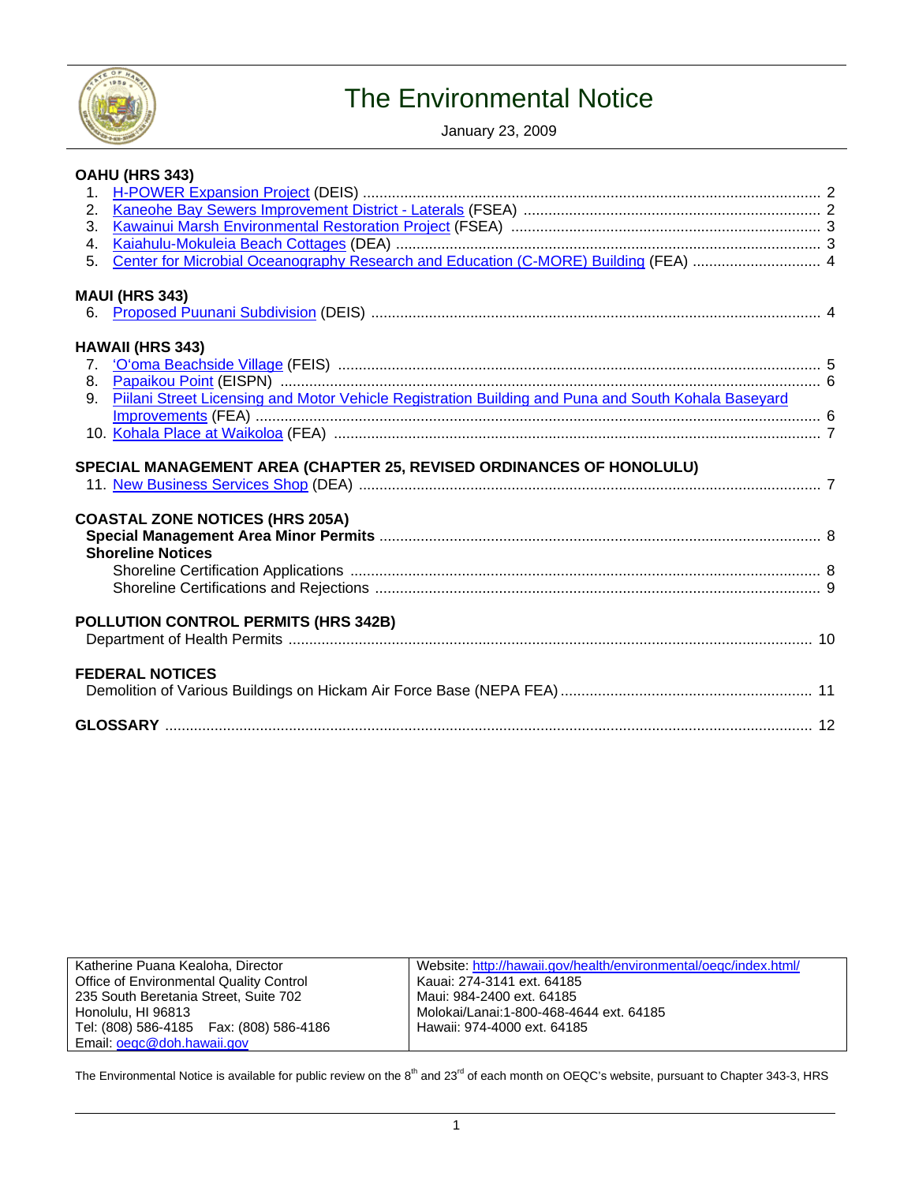

# The Environmental Notice

January 23, 2009

|    | <b>OAHU (HRS 343)</b>                                                                               |  |
|----|-----------------------------------------------------------------------------------------------------|--|
|    |                                                                                                     |  |
| 2. |                                                                                                     |  |
| 3. |                                                                                                     |  |
| 4. |                                                                                                     |  |
| 5. | Center for Microbial Oceanography Research and Education (C-MORE) Building (FEA)  4                 |  |
|    | <b>MAUI (HRS 343)</b>                                                                               |  |
|    |                                                                                                     |  |
|    | <b>HAWAII (HRS 343)</b>                                                                             |  |
|    |                                                                                                     |  |
|    |                                                                                                     |  |
| 9. | Piilani Street Licensing and Motor Vehicle Registration Building and Puna and South Kohala Baseyard |  |
|    |                                                                                                     |  |
|    |                                                                                                     |  |
|    |                                                                                                     |  |
|    | SPECIAL MANAGEMENT AREA (CHAPTER 25, REVISED ORDINANCES OF HONOLULU)                                |  |
|    |                                                                                                     |  |
|    | <b>COASTAL ZONE NOTICES (HRS 205A)</b>                                                              |  |
|    |                                                                                                     |  |
|    | <b>Shoreline Notices</b>                                                                            |  |
|    |                                                                                                     |  |
|    |                                                                                                     |  |
|    |                                                                                                     |  |
|    | POLLUTION CONTROL PERMITS (HRS 342B)                                                                |  |
|    |                                                                                                     |  |
|    |                                                                                                     |  |
|    | <b>FEDERAL NOTICES</b>                                                                              |  |
|    |                                                                                                     |  |
|    |                                                                                                     |  |
|    |                                                                                                     |  |

| Katherine Puana Kealoha, Director              | Websit  |
|------------------------------------------------|---------|
| <b>Office of Environmental Quality Control</b> | Kauai:  |
| 235 South Beretania Street, Suite 702          | Maui: 9 |
| Honolulu, HI 96813                             | Moloka  |
| Tel: (808) 586-4185  Fax: (808) 586-4186       | Hawaii  |
| Email: oegc@doh.hawaii.gov                     |         |

te:<http://hawaii.gov/health/environmental/oeqc/index.html/> 274-3141 ext. 64185 984-2400 ext. 64185 ai/Lanai:1-800-468-4644 ext. 64185 i: 974-4000 ext. 64185

The Environmental Notice is available for public review on the 8<sup>th</sup> and 23<sup>rd</sup> of each month on OEQC's website, pursuant to Chapter 343-3, HRS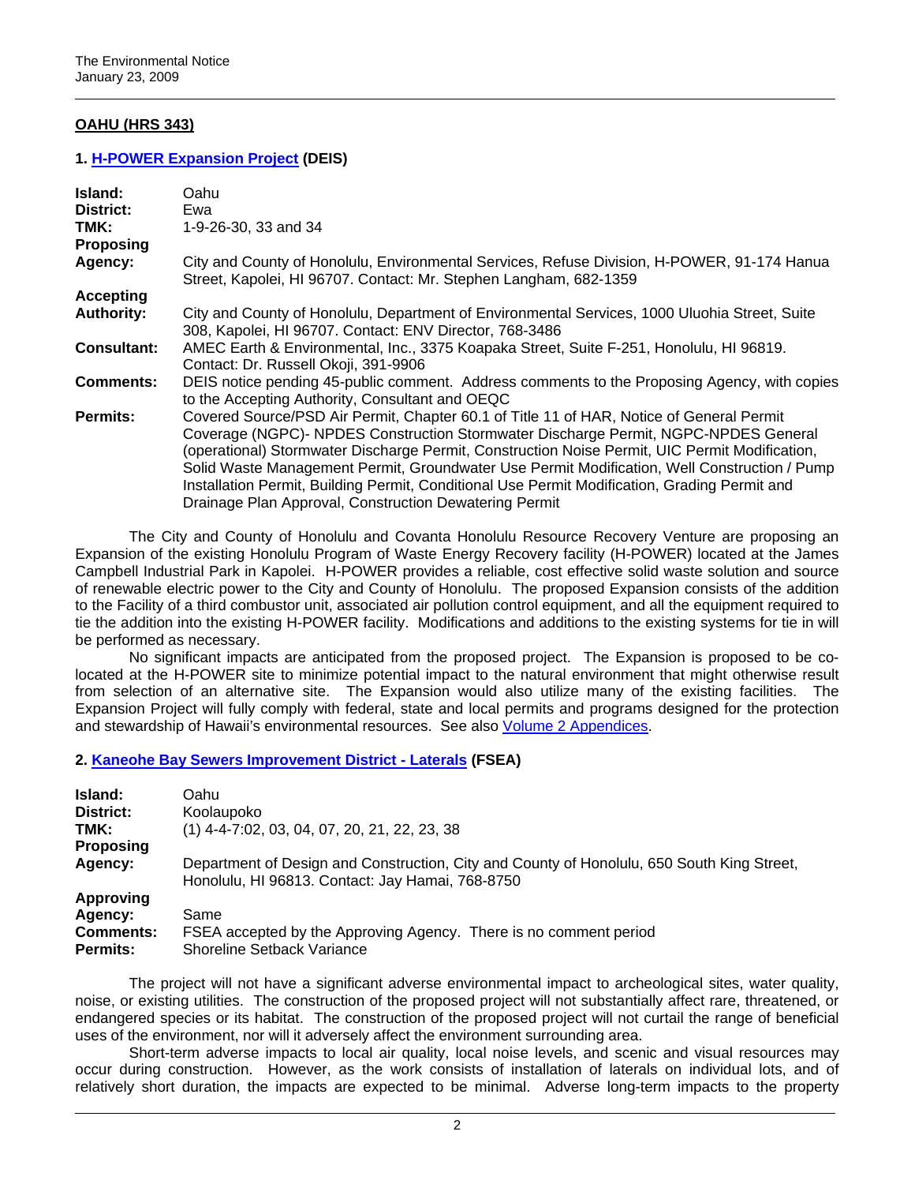# **OAHU (HRS 343)**

### **1. [H-POWER Expansion Project](http://oeqc.doh.hawaii.gov/Shared%20Documents/EA_and_EIS_Online_Library/Oahu/2000s/2009-01-23-OA-DEIS-H-Power-Expansion.pdf) (DEIS)**

| Island:            | Oahu                                                                                                                                                                                                                                                                                                                                                                                                                                                                                                                                         |
|--------------------|----------------------------------------------------------------------------------------------------------------------------------------------------------------------------------------------------------------------------------------------------------------------------------------------------------------------------------------------------------------------------------------------------------------------------------------------------------------------------------------------------------------------------------------------|
| District:          | Ewa                                                                                                                                                                                                                                                                                                                                                                                                                                                                                                                                          |
| TMK:               | 1-9-26-30, 33 and 34                                                                                                                                                                                                                                                                                                                                                                                                                                                                                                                         |
| <b>Proposing</b>   |                                                                                                                                                                                                                                                                                                                                                                                                                                                                                                                                              |
| Agency:            | City and County of Honolulu, Environmental Services, Refuse Division, H-POWER, 91-174 Hanua<br>Street, Kapolei, HI 96707. Contact: Mr. Stephen Langham, 682-1359                                                                                                                                                                                                                                                                                                                                                                             |
| <b>Accepting</b>   |                                                                                                                                                                                                                                                                                                                                                                                                                                                                                                                                              |
| <b>Authority:</b>  | City and County of Honolulu, Department of Environmental Services, 1000 Uluohia Street, Suite<br>308, Kapolei, HI 96707. Contact: ENV Director, 768-3486                                                                                                                                                                                                                                                                                                                                                                                     |
| <b>Consultant:</b> | AMEC Earth & Environmental, Inc., 3375 Koapaka Street, Suite F-251, Honolulu, HI 96819.<br>Contact: Dr. Russell Okoji, 391-9906                                                                                                                                                                                                                                                                                                                                                                                                              |
| <b>Comments:</b>   | DEIS notice pending 45-public comment. Address comments to the Proposing Agency, with copies<br>to the Accepting Authority, Consultant and OEQC                                                                                                                                                                                                                                                                                                                                                                                              |
| Permits:           | Covered Source/PSD Air Permit, Chapter 60.1 of Title 11 of HAR, Notice of General Permit<br>Coverage (NGPC)- NPDES Construction Stormwater Discharge Permit, NGPC-NPDES General<br>(operational) Stormwater Discharge Permit, Construction Noise Permit, UIC Permit Modification,<br>Solid Waste Management Permit, Groundwater Use Permit Modification, Well Construction / Pump<br>Installation Permit, Building Permit, Conditional Use Permit Modification, Grading Permit and<br>Drainage Plan Approval, Construction Dewatering Permit |

The City and County of Honolulu and Covanta Honolulu Resource Recovery Venture are proposing an Expansion of the existing Honolulu Program of Waste Energy Recovery facility (H-POWER) located at the James Campbell Industrial Park in Kapolei. H-POWER provides a reliable, cost effective solid waste solution and source of renewable electric power to the City and County of Honolulu. The proposed Expansion consists of the addition to the Facility of a third combustor unit, associated air pollution control equipment, and all the equipment required to tie the addition into the existing H-POWER facility. Modifications and additions to the existing systems for tie in will be performed as necessary.

No significant impacts are anticipated from the proposed project. The Expansion is proposed to be colocated at the H-POWER site to minimize potential impact to the natural environment that might otherwise result from selection of an alternative site. The Expansion would also utilize many of the existing facilities. The Expansion Project will fully comply with federal, state and local permits and programs designed for the protection and stewardship of Hawaii's environmental resources. See also [Volume 2 Appendices.](http://oeqc.doh.hawaii.gov/Shared%20Documents/EA_and_EIS_Online_Library/Oahu/2000s/2009-01-23-OA-DEIS-H-Power-Expansion-App.pdf)

#### **2. [Kaneohe Bay Sewers Improvement District - Laterals](http://oeqc.doh.hawaii.gov/Shared%20Documents/EA_and_EIS_Online_Library/Oahu/2000s/2009-01-23-OA-FSEA-Kaneohe-Bay-Sewers-Lateral.pdf) (FSEA)**

| Island:<br>District:<br>TMK:<br><b>Proposing</b>            | Oahu<br>Koolaupoko<br>$(1)$ 4-4-7:02, 03, 04, 07, 20, 21, 22, 23, 38                                                                           |
|-------------------------------------------------------------|------------------------------------------------------------------------------------------------------------------------------------------------|
| Agency:                                                     | Department of Design and Construction, City and County of Honolulu, 650 South King Street,<br>Honolulu, HI 96813. Contact: Jay Hamai, 768-8750 |
| <b>Approving</b><br>Agency:<br><b>Comments:</b><br>Permits: | Same<br>FSEA accepted by the Approving Agency. There is no comment period<br>Shoreline Setback Variance                                        |

The project will not have a significant adverse environmental impact to archeological sites, water quality, noise, or existing utilities. The construction of the proposed project will not substantially affect rare, threatened, or endangered species or its habitat. The construction of the proposed project will not curtail the range of beneficial uses of the environment, nor will it adversely affect the environment surrounding area.

Short-term adverse impacts to local air quality, local noise levels, and scenic and visual resources may occur during construction. However, as the work consists of installation of laterals on individual lots, and of relatively short duration, the impacts are expected to be minimal. Adverse long-term impacts to the property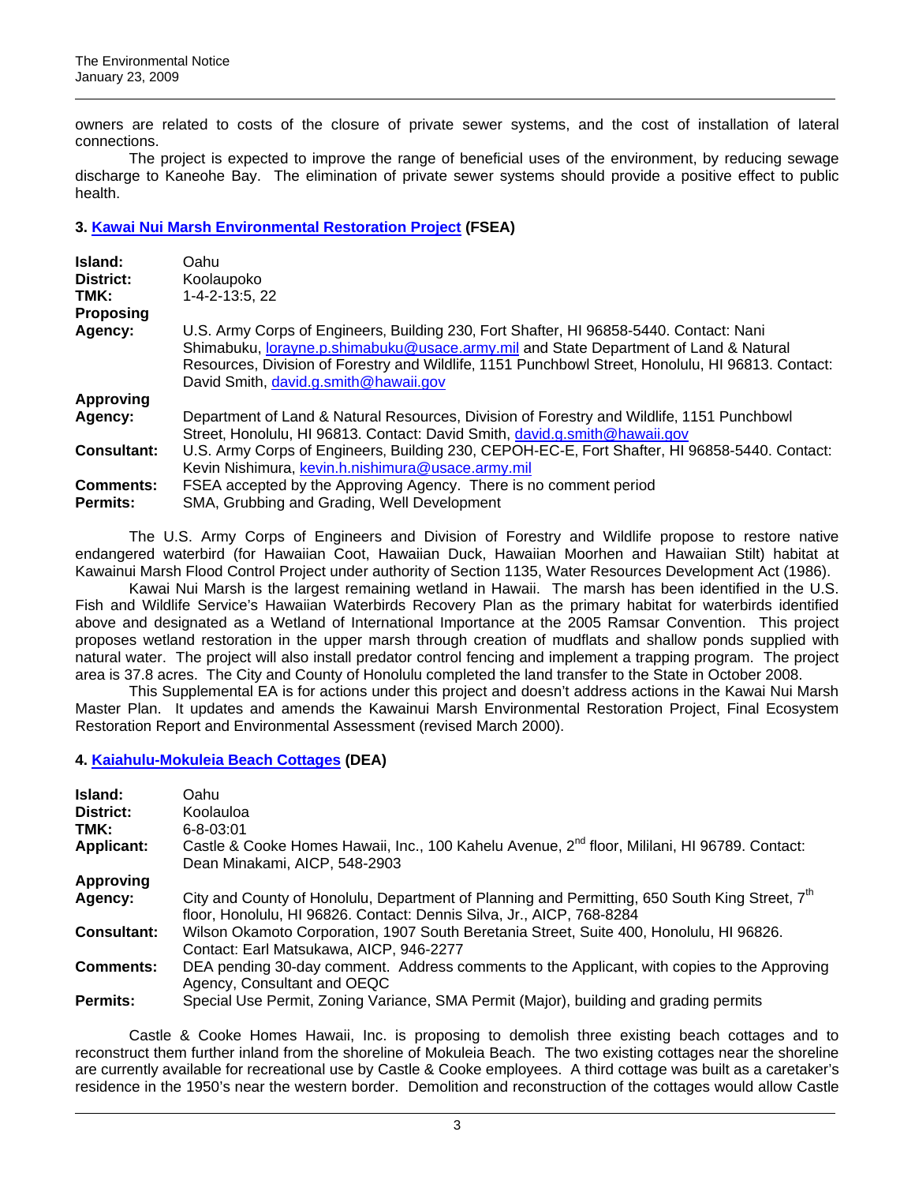owners are related to costs of the closure of private sewer systems, and the cost of installation of lateral connections.

The project is expected to improve the range of beneficial uses of the environment, by reducing sewage discharge to Kaneohe Bay. The elimination of private sewer systems should provide a positive effect to public health.

## **3. [Kawai Nui Marsh Environmental Restoration Project](http://oeqc.doh.hawaii.gov/Shared%20Documents/EA_and_EIS_Online_Library/Oahu/2000s/2009-01-23-OA-FSEA-Kawainui-Marsh-Restoration.pdf) (FSEA)**

| Island:            | Oahu                                                                                                                                                                                                                                                                                                                                |
|--------------------|-------------------------------------------------------------------------------------------------------------------------------------------------------------------------------------------------------------------------------------------------------------------------------------------------------------------------------------|
| District:          | Koolaupoko                                                                                                                                                                                                                                                                                                                          |
| TMK:               | 1-4-2-13:5, 22                                                                                                                                                                                                                                                                                                                      |
| Proposing          |                                                                                                                                                                                                                                                                                                                                     |
| Agency:            | U.S. Army Corps of Engineers, Building 230, Fort Shafter, HI 96858-5440. Contact: Nani<br>Shimabuku, <i>lorayne.p.shimabuku@usace.army.mil</i> and State Department of Land & Natural<br>Resources, Division of Forestry and Wildlife, 1151 Punchbowl Street, Honolulu, HI 96813. Contact:<br>David Smith, david.g.smith@hawaii.gov |
| <b>Approving</b>   |                                                                                                                                                                                                                                                                                                                                     |
| Agency:            | Department of Land & Natural Resources, Division of Forestry and Wildlife, 1151 Punchbowl<br>Street, Honolulu, HI 96813. Contact: David Smith, david.g.smith@hawaii.gov                                                                                                                                                             |
| <b>Consultant:</b> | U.S. Army Corps of Engineers, Building 230, CEPOH-EC-E, Fort Shafter, HI 96858-5440. Contact:<br>Kevin Nishimura, kevin.h.nishimura@usace.army.mil                                                                                                                                                                                  |
| <b>Comments:</b>   | FSEA accepted by the Approving Agency. There is no comment period                                                                                                                                                                                                                                                                   |
| <b>Permits:</b>    | SMA, Grubbing and Grading, Well Development                                                                                                                                                                                                                                                                                         |

The U.S. Army Corps of Engineers and Division of Forestry and Wildlife propose to restore native endangered waterbird (for Hawaiian Coot, Hawaiian Duck, Hawaiian Moorhen and Hawaiian Stilt) habitat at Kawainui Marsh Flood Control Project under authority of Section 1135, Water Resources Development Act (1986).

Kawai Nui Marsh is the largest remaining wetland in Hawaii. The marsh has been identified in the U.S. Fish and Wildlife Service's Hawaiian Waterbirds Recovery Plan as the primary habitat for waterbirds identified above and designated as a Wetland of International Importance at the 2005 Ramsar Convention. This project proposes wetland restoration in the upper marsh through creation of mudflats and shallow ponds supplied with natural water. The project will also install predator control fencing and implement a trapping program. The project area is 37.8 acres. The City and County of Honolulu completed the land transfer to the State in October 2008.

This Supplemental EA is for actions under this project and doesn't address actions in the Kawai Nui Marsh Master Plan. It updates and amends the Kawainui Marsh Environmental Restoration Project, Final Ecosystem Restoration Report and Environmental Assessment (revised March 2000).

## **4. [Kaiahulu-Mokuleia Beach Cottages](http://oeqc.doh.hawaii.gov/Shared%20Documents/EA_and_EIS_Online_Library/Oahu/2000s/2009-01-23-OA-DEA-Kaiahulu-Mokuleia-Beach-Cottages.pdf) (DEA)**

| Island:<br>District:<br>TMK:<br><b>Applicant:</b> | Oahu<br>Koolauloa<br>$6 - 8 - 03:01$<br>Castle & Cooke Homes Hawaii, Inc., 100 Kahelu Avenue, 2 <sup>nd</sup> floor, Mililani, HI 96789. Contact:<br>Dean Minakami, AICP, 548-2903  |
|---------------------------------------------------|-------------------------------------------------------------------------------------------------------------------------------------------------------------------------------------|
| <b>Approving</b>                                  |                                                                                                                                                                                     |
| Agency:                                           | City and County of Honolulu, Department of Planning and Permitting, 650 South King Street, 7 <sup>th</sup><br>floor, Honolulu, HI 96826. Contact: Dennis Silva, Jr., AICP, 768-8284 |
| <b>Consultant:</b>                                | Wilson Okamoto Corporation, 1907 South Beretania Street, Suite 400, Honolulu, HI 96826.<br>Contact: Earl Matsukawa, AICP, 946-2277                                                  |
| <b>Comments:</b>                                  | DEA pending 30-day comment. Address comments to the Applicant, with copies to the Approving<br>Agency, Consultant and OEQC                                                          |
| <b>Permits:</b>                                   | Special Use Permit, Zoning Variance, SMA Permit (Major), building and grading permits                                                                                               |

Castle & Cooke Homes Hawaii, Inc. is proposing to demolish three existing beach cottages and to reconstruct them further inland from the shoreline of Mokuleia Beach. The two existing cottages near the shoreline are currently available for recreational use by Castle & Cooke employees. A third cottage was built as a caretaker's residence in the 1950's near the western border. Demolition and reconstruction of the cottages would allow Castle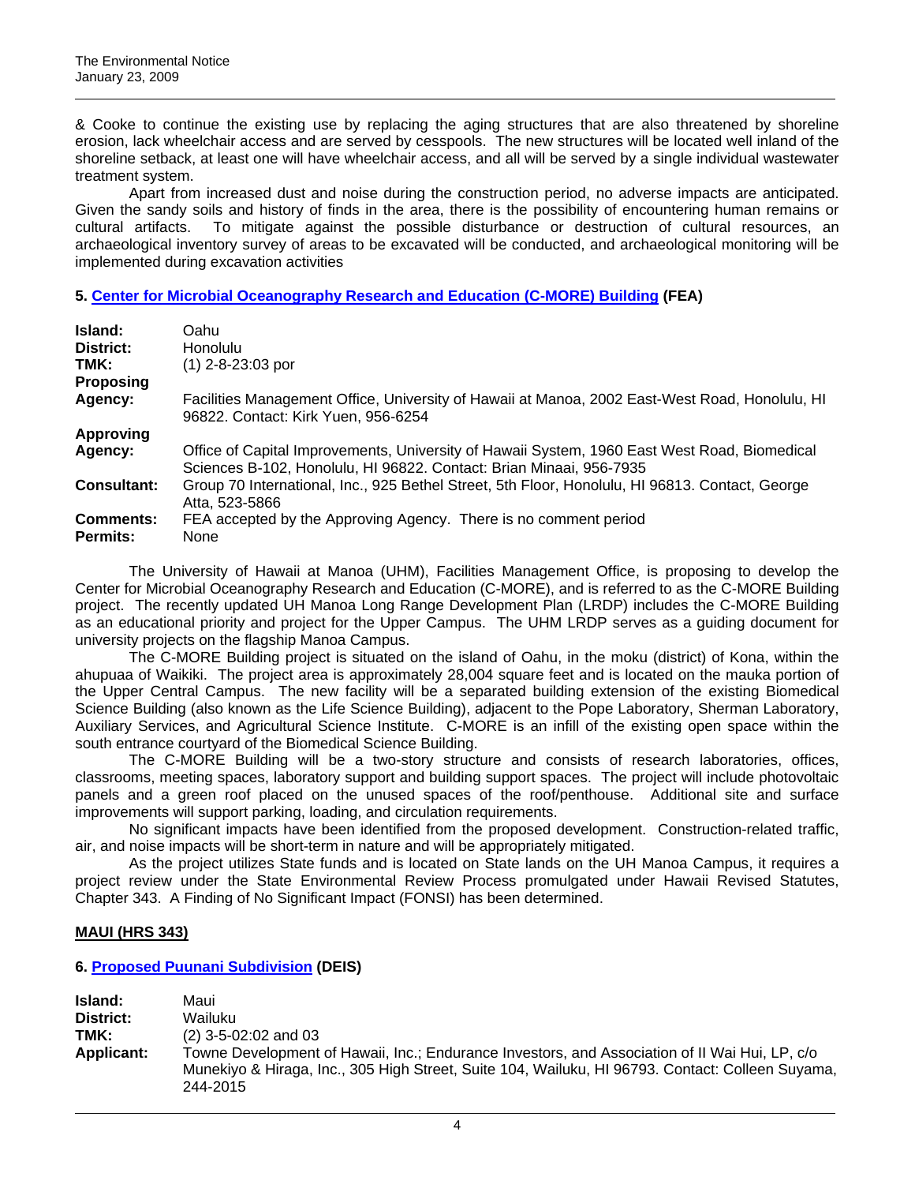& Cooke to continue the existing use by replacing the aging structures that are also threatened by shoreline erosion, lack wheelchair access and are served by cesspools. The new structures will be located well inland of the shoreline setback, at least one will have wheelchair access, and all will be served by a single individual wastewater treatment system.

Apart from increased dust and noise during the construction period, no adverse impacts are anticipated. Given the sandy soils and history of finds in the area, there is the possibility of encountering human remains or cultural artifacts. To mitigate against the possible disturbance or destruction of cultural resources, an archaeological inventory survey of areas to be excavated will be conducted, and archaeological monitoring will be implemented during excavation activities

## **5. [Center for Microbial Oceanography Research and Education \(C-MORE\) Building](http://oeqc.doh.hawaii.gov/Shared%20Documents/EA_and_EIS_Online_Library/Oahu/2000s/2009-01-23-OA-FEA-Center-Microbial-Oceanography.pdf) (FEA)**

| Island:<br>District:<br>TMK: | Oahu<br><b>Honolulu</b><br>$(1)$ 2-8-23:03 por                                                                                                                      |
|------------------------------|---------------------------------------------------------------------------------------------------------------------------------------------------------------------|
| Proposing                    |                                                                                                                                                                     |
| Agency:                      | Facilities Management Office, University of Hawaii at Manoa, 2002 East-West Road, Honolulu, HI<br>96822. Contact: Kirk Yuen, 956-6254                               |
| <b>Approving</b>             |                                                                                                                                                                     |
| Agency:                      | Office of Capital Improvements, University of Hawaii System, 1960 East West Road, Biomedical<br>Sciences B-102, Honolulu, HI 96822. Contact: Brian Minaai, 956-7935 |
| <b>Consultant:</b>           | Group 70 International, Inc., 925 Bethel Street, 5th Floor, Honolulu, HI 96813. Contact, George<br>Atta. 523-5866                                                   |
| Comments:<br><b>Permits:</b> | FEA accepted by the Approving Agency. There is no comment period<br>None                                                                                            |

The University of Hawaii at Manoa (UHM), Facilities Management Office, is proposing to develop the Center for Microbial Oceanography Research and Education (C-MORE), and is referred to as the C-MORE Building project. The recently updated UH Manoa Long Range Development Plan (LRDP) includes the C-MORE Building as an educational priority and project for the Upper Campus. The UHM LRDP serves as a guiding document for university projects on the flagship Manoa Campus.

The C-MORE Building project is situated on the island of Oahu, in the moku (district) of Kona, within the ahupuaa of Waikiki. The project area is approximately 28,004 square feet and is located on the mauka portion of the Upper Central Campus. The new facility will be a separated building extension of the existing Biomedical Science Building (also known as the Life Science Building), adjacent to the Pope Laboratory, Sherman Laboratory, Auxiliary Services, and Agricultural Science Institute. C-MORE is an infill of the existing open space within the south entrance courtyard of the Biomedical Science Building.

The C-MORE Building will be a two-story structure and consists of research laboratories, offices, classrooms, meeting spaces, laboratory support and building support spaces. The project will include photovoltaic panels and a green roof placed on the unused spaces of the roof/penthouse. Additional site and surface improvements will support parking, loading, and circulation requirements.

No significant impacts have been identified from the proposed development. Construction-related traffic, air, and noise impacts will be short-term in nature and will be appropriately mitigated.

As the project utilizes State funds and is located on State lands on the UH Manoa Campus, it requires a project review under the State Environmental Review Process promulgated under Hawaii Revised Statutes, Chapter 343. A Finding of No Significant Impact (FONSI) has been determined.

## **MAUI (HRS 343)**

## **6. [Proposed Puunani Subdivision](http://oeqc.doh.hawaii.gov/Shared%20Documents/EA_and_EIS_Online_Library/Maui/2000s/2009-01-23-MA-DEIS-Puunani-Subdivision.pdf) (DEIS)**

**Island:** Maui **District:** Wailuku **TMK:** (2) 3-5-02:02 and 03 **Applicant:** Towne Development of Hawaii, Inc.; Endurance Investors, and Association of II Wai Hui, LP, c/o Munekiyo & Hiraga, Inc., 305 High Street, Suite 104, Wailuku, HI 96793. Contact: Colleen Suyama, 244-2015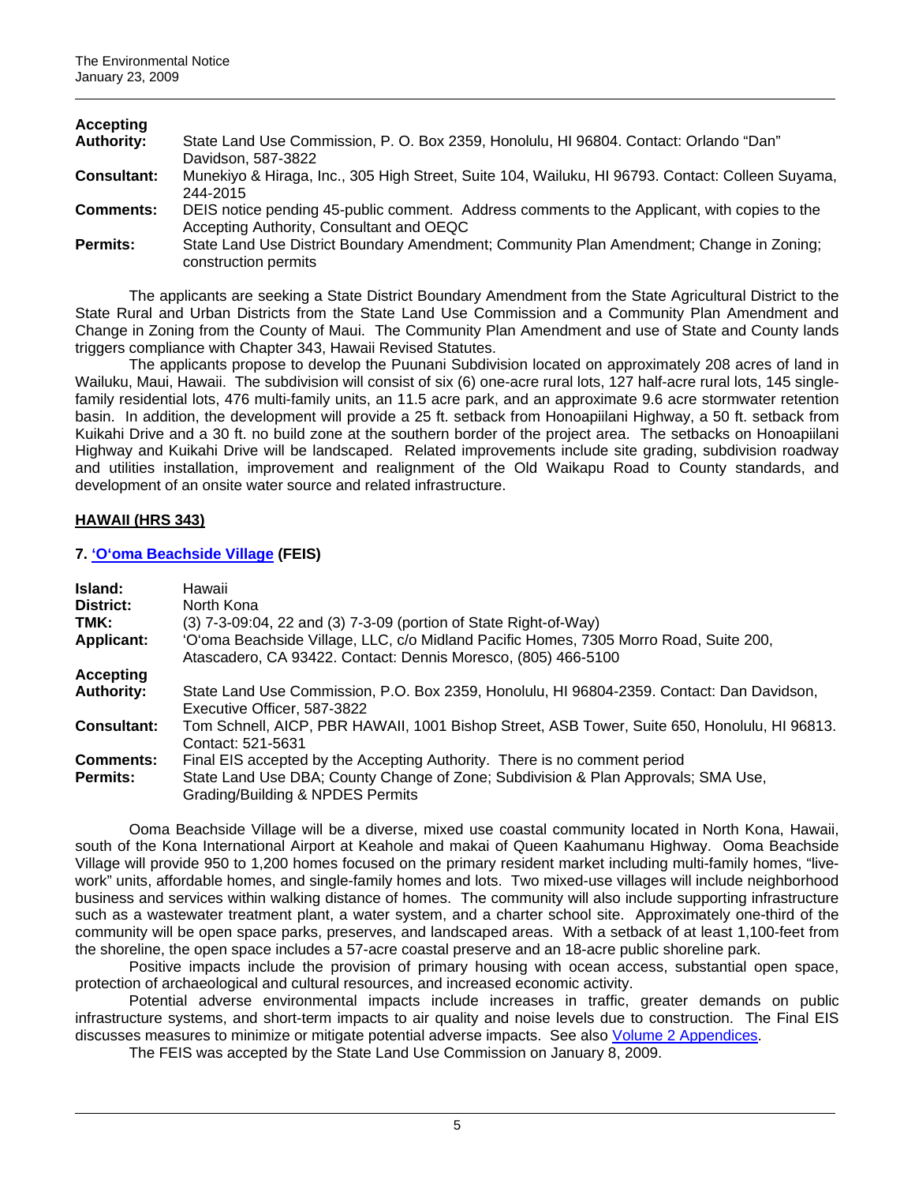| Accepting          |                                                                                                  |
|--------------------|--------------------------------------------------------------------------------------------------|
| <b>Authority:</b>  | State Land Use Commission, P. O. Box 2359, Honolulu, HI 96804. Contact: Orlando "Dan"            |
|                    | Davidson, 587-3822                                                                               |
| <b>Consultant:</b> | Munekiyo & Hiraga, Inc., 305 High Street, Suite 104, Wailuku, HI 96793. Contact: Colleen Suyama, |
|                    | 244-2015                                                                                         |
| <b>Comments:</b>   | DEIS notice pending 45-public comment. Address comments to the Applicant, with copies to the     |
|                    | Accepting Authority, Consultant and OEQC                                                         |
| <b>Permits:</b>    | State Land Use District Boundary Amendment; Community Plan Amendment; Change in Zoning;          |
|                    | construction permits                                                                             |

The applicants are seeking a State District Boundary Amendment from the State Agricultural District to the State Rural and Urban Districts from the State Land Use Commission and a Community Plan Amendment and Change in Zoning from the County of Maui. The Community Plan Amendment and use of State and County lands triggers compliance with Chapter 343, Hawaii Revised Statutes.

The applicants propose to develop the Puunani Subdivision located on approximately 208 acres of land in Wailuku, Maui, Hawaii. The subdivision will consist of six (6) one-acre rural lots, 127 half-acre rural lots, 145 singlefamily residential lots, 476 multi-family units, an 11.5 acre park, and an approximate 9.6 acre stormwater retention basin. In addition, the development will provide a 25 ft. setback from Honoapiilani Highway, a 50 ft. setback from Kuikahi Drive and a 30 ft. no build zone at the southern border of the project area. The setbacks on Honoapiilani Highway and Kuikahi Drive will be landscaped. Related improvements include site grading, subdivision roadway and utilities installation, improvement and realignment of the Old Waikapu Road to County standards, and development of an onsite water source and related infrastructure.

## **HAWAII (HRS 343)**

## **7. ['O'oma Beachside Village](http://oeqc.doh.hawaii.gov/Shared%20Documents/EA_and_EIS_Online_Library/Hawaii/2000s/2009-01-23-HA-FEIS-Ooma-Beachside-Village.pdf) (FEIS)**

| Island:<br>District:<br>TMK:<br><b>Applicant:</b> | Hawaii<br>North Kona<br>(3) 7-3-09:04, 22 and (3) 7-3-09 (portion of State Right-of-Way)<br>'O'oma Beachside Village, LLC, c/o Midland Pacific Homes, 7305 Morro Road, Suite 200,                  |
|---------------------------------------------------|----------------------------------------------------------------------------------------------------------------------------------------------------------------------------------------------------|
|                                                   | Atascadero, CA 93422. Contact: Dennis Moresco, (805) 466-5100                                                                                                                                      |
| <b>Accepting</b>                                  |                                                                                                                                                                                                    |
| <b>Authority:</b>                                 | State Land Use Commission, P.O. Box 2359, Honolulu, HI 96804-2359. Contact: Dan Davidson,<br>Executive Officer, 587-3822                                                                           |
| <b>Consultant:</b>                                | Tom Schnell, AICP, PBR HAWAII, 1001 Bishop Street, ASB Tower, Suite 650, Honolulu, HI 96813.<br>Contact: 521-5631                                                                                  |
| <b>Comments:</b><br><b>Permits:</b>               | Final EIS accepted by the Accepting Authority. There is no comment period<br>State Land Use DBA; County Change of Zone; Subdivision & Plan Approvals; SMA Use,<br>Grading/Building & NPDES Permits |

Ooma Beachside Village will be a diverse, mixed use coastal community located in North Kona, Hawaii, south of the Kona International Airport at Keahole and makai of Queen Kaahumanu Highway. Ooma Beachside Village will provide 950 to 1,200 homes focused on the primary resident market including multi-family homes, "livework" units, affordable homes, and single-family homes and lots. Two mixed-use villages will include neighborhood business and services within walking distance of homes. The community will also include supporting infrastructure such as a wastewater treatment plant, a water system, and a charter school site. Approximately one-third of the community will be open space parks, preserves, and landscaped areas. With a setback of at least 1,100-feet from the shoreline, the open space includes a 57-acre coastal preserve and an 18-acre public shoreline park.

Positive impacts include the provision of primary housing with ocean access, substantial open space, protection of archaeological and cultural resources, and increased economic activity.

Potential adverse environmental impacts include increases in traffic, greater demands on public infrastructure systems, and short-term impacts to air quality and noise levels due to construction. The Final EIS discusses measures to minimize or mitigate potential adverse impacts. See also [Volume 2 Appendices](http://oeqc.doh.hawaii.gov/Shared%20Documents/EA_and_EIS_Online_Library/Hawaii/2000s/2009-01-23-HA-FEIS-Ooma-Beachside-Village-App.pdf).

The FEIS was accepted by the State Land Use Commission on January 8, 2009.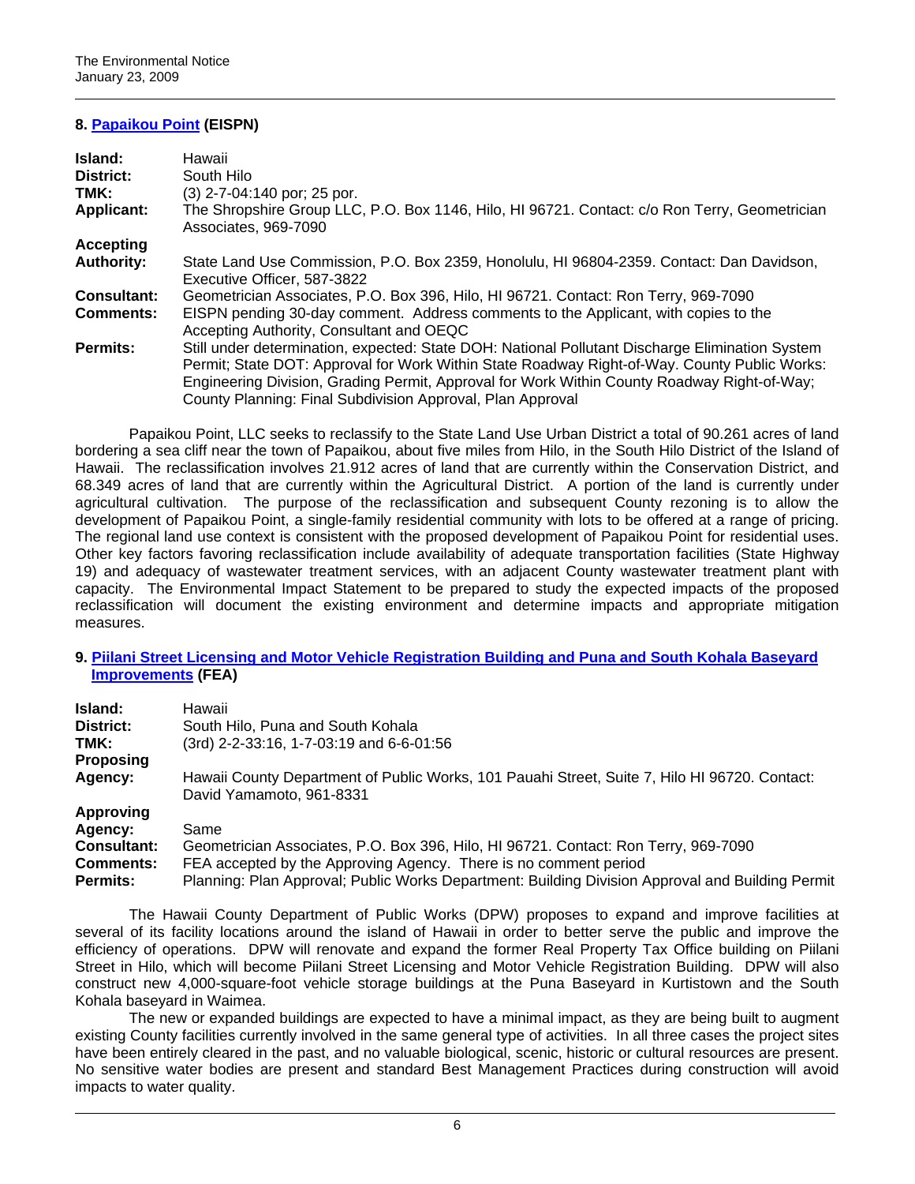## **8. [Papaikou Point](http://oeqc.doh.hawaii.gov/Shared%20Documents/EA_and_EIS_Online_Library/Hawaii/2000s/2009-01-23-HA-EISPN-Papaikou-Point.pdf) (EISPN)**

| Island:           | Hawaii                                                                                                                                                                                                                                                                                                                                                       |
|-------------------|--------------------------------------------------------------------------------------------------------------------------------------------------------------------------------------------------------------------------------------------------------------------------------------------------------------------------------------------------------------|
| District:         | South Hilo                                                                                                                                                                                                                                                                                                                                                   |
| TMK:              | (3) 2-7-04:140 por; 25 por.                                                                                                                                                                                                                                                                                                                                  |
| <b>Applicant:</b> | The Shropshire Group LLC, P.O. Box 1146, Hilo, HI 96721. Contact: c/o Ron Terry, Geometrician<br>Associates, 969-7090                                                                                                                                                                                                                                        |
| Accepting         |                                                                                                                                                                                                                                                                                                                                                              |
| <b>Authority:</b> | State Land Use Commission, P.O. Box 2359, Honolulu, HI 96804-2359. Contact: Dan Davidson,<br>Executive Officer, 587-3822                                                                                                                                                                                                                                     |
| Consultant:       | Geometrician Associates, P.O. Box 396, Hilo, HI 96721. Contact: Ron Terry, 969-7090                                                                                                                                                                                                                                                                          |
| <b>Comments:</b>  | EISPN pending 30-day comment. Address comments to the Applicant, with copies to the<br>Accepting Authority, Consultant and OEQC                                                                                                                                                                                                                              |
| <b>Permits:</b>   | Still under determination, expected: State DOH: National Pollutant Discharge Elimination System<br>Permit; State DOT: Approval for Work Within State Roadway Right-of-Way. County Public Works:<br>Engineering Division, Grading Permit, Approval for Work Within County Roadway Right-of-Way;<br>County Planning: Final Subdivision Approval, Plan Approval |

Papaikou Point, LLC seeks to reclassify to the State Land Use Urban District a total of 90.261 acres of land bordering a sea cliff near the town of Papaikou, about five miles from Hilo, in the South Hilo District of the Island of Hawaii. The reclassification involves 21.912 acres of land that are currently within the Conservation District, and 68.349 acres of land that are currently within the Agricultural District. A portion of the land is currently under agricultural cultivation. The purpose of the reclassification and subsequent County rezoning is to allow the development of Papaikou Point, a single-family residential community with lots to be offered at a range of pricing. The regional land use context is consistent with the proposed development of Papaikou Point for residential uses. Other key factors favoring reclassification include availability of adequate transportation facilities (State Highway 19) and adequacy of wastewater treatment services, with an adjacent County wastewater treatment plant with capacity. The Environmental Impact Statement to be prepared to study the expected impacts of the proposed reclassification will document the existing environment and determine impacts and appropriate mitigation measures.

#### **9. [Piilani Street Licensing and Motor Vehicle Registration Building and Puna and South Kohala Baseyard](http://oeqc.doh.hawaii.gov/Shared%20Documents/EA_and_EIS_Online_Library/Hawaii/2000s/2009-01-23-HA-FEA-Piilani-Street-Licensing-Registration-Baseyard.pdf)  [Improvements](http://oeqc.doh.hawaii.gov/Shared%20Documents/EA_and_EIS_Online_Library/Hawaii/2000s/2009-01-23-HA-FEA-Piilani-Street-Licensing-Registration-Baseyard.pdf) (FEA)**

| Island:            | Hawaii                                                                                                                    |
|--------------------|---------------------------------------------------------------------------------------------------------------------------|
| District:          | South Hilo, Puna and South Kohala                                                                                         |
| TMK:               | (3rd) 2-2-33:16, 1-7-03:19 and 6-6-01:56                                                                                  |
| <b>Proposing</b>   |                                                                                                                           |
| Agency:            | Hawaii County Department of Public Works, 101 Pauahi Street, Suite 7, Hilo HI 96720. Contact:<br>David Yamamoto, 961-8331 |
| Approving          |                                                                                                                           |
| Agency:            | Same                                                                                                                      |
| <b>Consultant:</b> | Geometrician Associates, P.O. Box 396, Hilo, HI 96721. Contact: Ron Terry, 969-7090                                       |
| <b>Comments:</b>   | FEA accepted by the Approving Agency. There is no comment period                                                          |
| <b>Permits:</b>    | Planning: Plan Approval; Public Works Department: Building Division Approval and Building Permit                          |

The Hawaii County Department of Public Works (DPW) proposes to expand and improve facilities at several of its facility locations around the island of Hawaii in order to better serve the public and improve the efficiency of operations. DPW will renovate and expand the former Real Property Tax Office building on Piilani Street in Hilo, which will become Piilani Street Licensing and Motor Vehicle Registration Building. DPW will also construct new 4,000-square-foot vehicle storage buildings at the Puna Baseyard in Kurtistown and the South Kohala baseyard in Waimea.

The new or expanded buildings are expected to have a minimal impact, as they are being built to augment existing County facilities currently involved in the same general type of activities. In all three cases the project sites have been entirely cleared in the past, and no valuable biological, scenic, historic or cultural resources are present. No sensitive water bodies are present and standard Best Management Practices during construction will avoid impacts to water quality.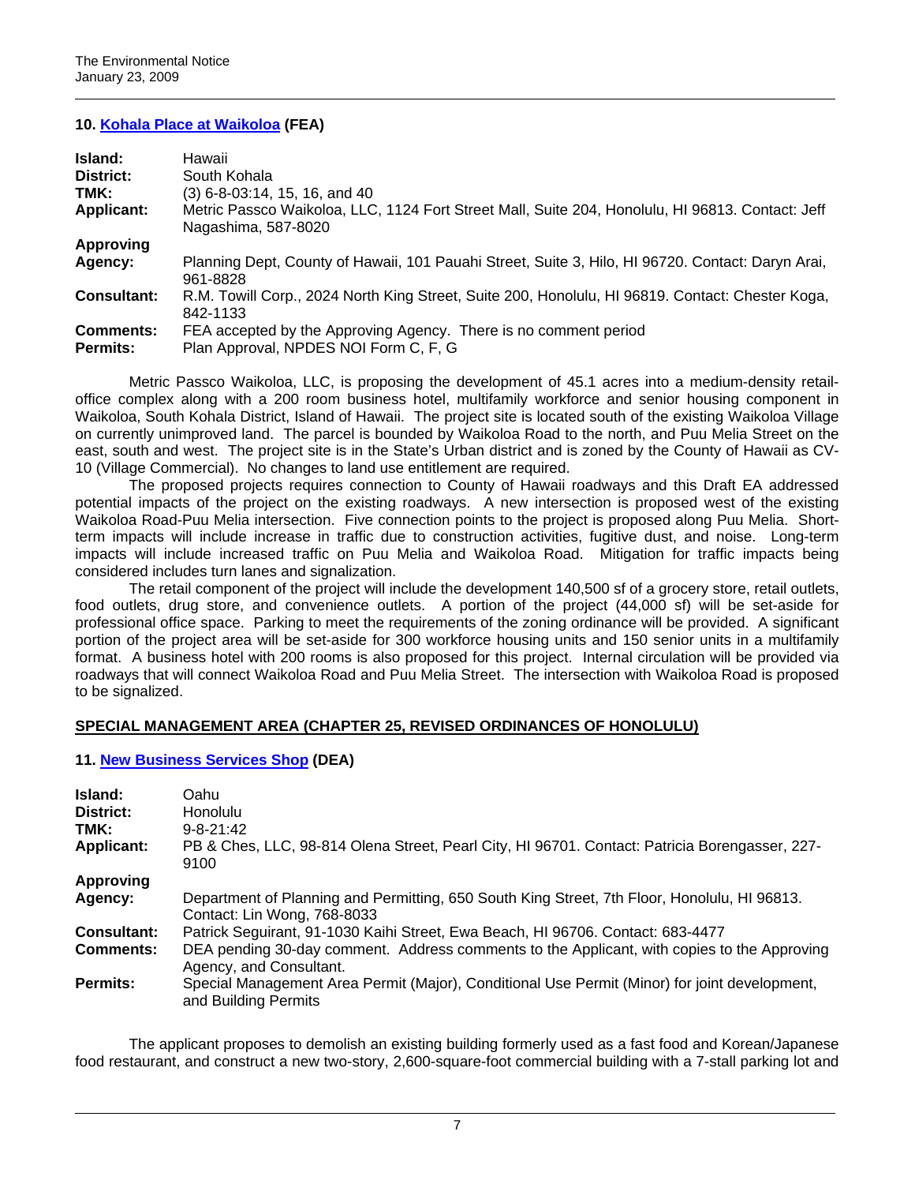### **10. [Kohala Place at Waikoloa](http://oeqc.doh.hawaii.gov/Shared%20Documents/EA_and_EIS_Online_Library/Hawaii/2000s/2009-01-23-HA-FEA-Kohala-Place-Waikoloa.pdf) (FEA)**

| Island:            | Hawaii                                                                                                                  |
|--------------------|-------------------------------------------------------------------------------------------------------------------------|
| District:          | South Kohala                                                                                                            |
| TMK:               | $(3)$ 6-8-03:14, 15, 16, and 40                                                                                         |
| <b>Applicant:</b>  | Metric Passco Waikoloa, LLC, 1124 Fort Street Mall, Suite 204, Honolulu, HI 96813. Contact: Jeff<br>Nagashima, 587-8020 |
| <b>Approving</b>   |                                                                                                                         |
| Agency:            | Planning Dept, County of Hawaii, 101 Pauahi Street, Suite 3, Hilo, HI 96720. Contact: Daryn Arai,<br>961-8828           |
| <b>Consultant:</b> | R.M. Towill Corp., 2024 North King Street, Suite 200, Honolulu, HI 96819. Contact: Chester Koga,<br>842-1133            |
| <b>Comments:</b>   | FEA accepted by the Approving Agency. There is no comment period                                                        |
| <b>Permits:</b>    | Plan Approval, NPDES NOI Form C, F, G                                                                                   |

Metric Passco Waikoloa, LLC, is proposing the development of 45.1 acres into a medium-density retailoffice complex along with a 200 room business hotel, multifamily workforce and senior housing component in Waikoloa, South Kohala District, Island of Hawaii. The project site is located south of the existing Waikoloa Village on currently unimproved land. The parcel is bounded by Waikoloa Road to the north, and Puu Melia Street on the east, south and west. The project site is in the State's Urban district and is zoned by the County of Hawaii as CV-10 (Village Commercial). No changes to land use entitlement are required.

The proposed projects requires connection to County of Hawaii roadways and this Draft EA addressed potential impacts of the project on the existing roadways. A new intersection is proposed west of the existing Waikoloa Road-Puu Melia intersection. Five connection points to the project is proposed along Puu Melia. Shortterm impacts will include increase in traffic due to construction activities, fugitive dust, and noise. Long-term impacts will include increased traffic on Puu Melia and Waikoloa Road. Mitigation for traffic impacts being considered includes turn lanes and signalization.

The retail component of the project will include the development 140,500 sf of a grocery store, retail outlets, food outlets, drug store, and convenience outlets. A portion of the project (44,000 sf) will be set-aside for professional office space. Parking to meet the requirements of the zoning ordinance will be provided. A significant portion of the project area will be set-aside for 300 workforce housing units and 150 senior units in a multifamily format. A business hotel with 200 rooms is also proposed for this project. Internal circulation will be provided via roadways that will connect Waikoloa Road and Puu Melia Street. The intersection with Waikoloa Road is proposed to be signalized.

## **SPECIAL MANAGEMENT AREA (CHAPTER 25, REVISED ORDINANCES OF HONOLULU)**

## **11. [New Business Services Shop](http://oeqc.doh.hawaii.gov/Shared%20Documents/EA_and_EIS_Online_Library/Oahu/2000s/2009-01-23-OA-DEA-New-Business-Services-Shop.pdf) (DEA)**

| Island:<br>District:<br>TMK:<br><b>Applicant:</b> | Oahu<br><b>Honolulu</b><br>$9 - 8 - 21$ :42<br>PB & Ches, LLC, 98-814 Olena Street, Pearl City, HI 96701. Contact: Patricia Borengasser, 227-<br>9100 |
|---------------------------------------------------|-------------------------------------------------------------------------------------------------------------------------------------------------------|
| <b>Approving</b>                                  |                                                                                                                                                       |
| Agency:                                           | Department of Planning and Permitting, 650 South King Street, 7th Floor, Honolulu, HI 96813.<br>Contact: Lin Wong, 768-8033                           |
| <b>Consultant:</b>                                | Patrick Seguirant, 91-1030 Kaihi Street, Ewa Beach, HI 96706. Contact: 683-4477                                                                       |
| <b>Comments:</b>                                  | DEA pending 30-day comment. Address comments to the Applicant, with copies to the Approving<br>Agency, and Consultant.                                |
| <b>Permits:</b>                                   | Special Management Area Permit (Major), Conditional Use Permit (Minor) for joint development,<br>and Building Permits                                 |

The applicant proposes to demolish an existing building formerly used as a fast food and Korean/Japanese food restaurant, and construct a new two-story, 2,600-square-foot commercial building with a 7-stall parking lot and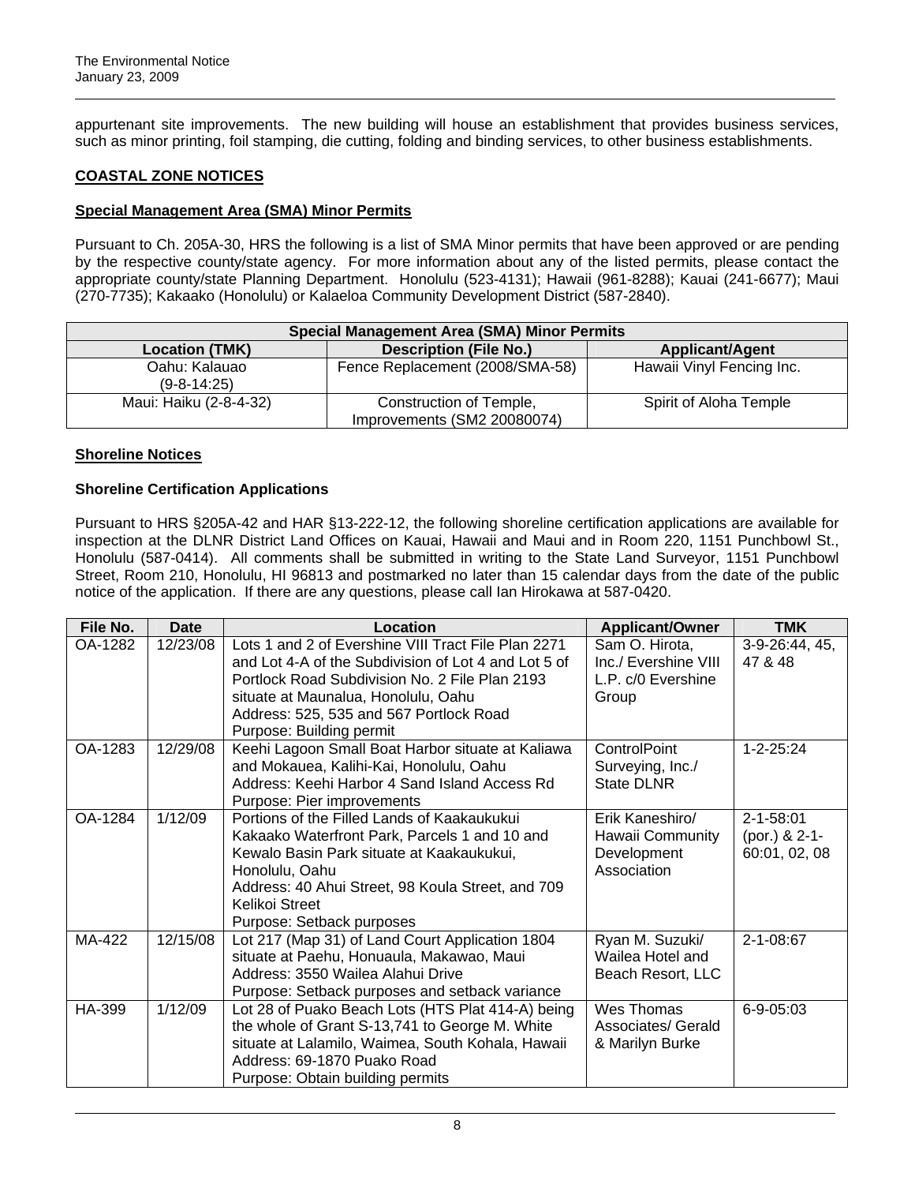appurtenant site improvements. The new building will house an establishment that provides business services, such as minor printing, foil stamping, die cutting, folding and binding services, to other business establishments.

# **COASTAL ZONE NOTICES**

## **Special Management Area (SMA) Minor Permits**

Pursuant to Ch. 205A-30, HRS the following is a list of SMA Minor permits that have been approved or are pending by the respective county/state agency. For more information about any of the listed permits, please contact the appropriate county/state Planning Department. Honolulu (523-4131); Hawaii (961-8288); Kauai (241-6677); Maui (270-7735); Kakaako (Honolulu) or Kalaeloa Community Development District (587-2840).

| <b>Special Management Area (SMA) Minor Permits</b> |                                                        |                           |  |
|----------------------------------------------------|--------------------------------------------------------|---------------------------|--|
| <b>Location (TMK)</b>                              | <b>Description (File No.)</b>                          | <b>Applicant/Agent</b>    |  |
| Oahu: Kalauao<br>$(9 - 8 - 14:25)$                 | Fence Replacement (2008/SMA-58)                        | Hawaii Vinyl Fencing Inc. |  |
| Maui: Haiku (2-8-4-32)                             | Construction of Temple,<br>Improvements (SM2 20080074) | Spirit of Aloha Temple    |  |

### **Shoreline Notices**

### **Shoreline Certification Applications**

Pursuant to HRS §205A-42 and HAR §13-222-12, the following shoreline certification applications are available for inspection at the DLNR District Land Offices on Kauai, Hawaii and Maui and in Room 220, 1151 Punchbowl St., Honolulu (587-0414). All comments shall be submitted in writing to the State Land Surveyor, 1151 Punchbowl Street, Room 210, Honolulu, HI 96813 and postmarked no later than 15 calendar days from the date of the public notice of the application. If there are any questions, please call Ian Hirokawa at 587-0420.

| File No. | <b>Date</b> | Location                                                                                                                                                                                                                                                                    | <b>Applicant/Owner</b>                                                | <b>TMK</b>                                        |
|----------|-------------|-----------------------------------------------------------------------------------------------------------------------------------------------------------------------------------------------------------------------------------------------------------------------------|-----------------------------------------------------------------------|---------------------------------------------------|
| OA-1282  | 12/23/08    | Lots 1 and 2 of Evershine VIII Tract File Plan 2271<br>and Lot 4-A of the Subdivision of Lot 4 and Lot 5 of<br>Portlock Road Subdivision No. 2 File Plan 2193<br>situate at Maunalua, Honolulu, Oahu<br>Address: 525, 535 and 567 Portlock Road<br>Purpose: Building permit | Sam O. Hirota,<br>Inc./ Evershine VIII<br>L.P. c/0 Evershine<br>Group | $3-9-26:44, 45,$<br>47 & 48                       |
| OA-1283  | 12/29/08    | Keehi Lagoon Small Boat Harbor situate at Kaliawa<br>and Mokauea, Kalihi-Kai, Honolulu, Oahu<br>Address: Keehi Harbor 4 Sand Island Access Rd<br>Purpose: Pier improvements                                                                                                 | <b>ControlPoint</b><br>Surveying, Inc./<br><b>State DLNR</b>          | $1 - 2 - 25:24$                                   |
| OA-1284  | 1/12/09     | Portions of the Filled Lands of Kaakaukukui<br>Kakaako Waterfront Park, Parcels 1 and 10 and<br>Kewalo Basin Park situate at Kaakaukukui,<br>Honolulu, Oahu<br>Address: 40 Ahui Street, 98 Koula Street, and 709<br>Kelikoi Street<br>Purpose: Setback purposes             | Erik Kaneshiro/<br>Hawaii Community<br>Development<br>Association     | $2 - 1 - 58:01$<br>(por.) & 2-1-<br>60:01, 02, 08 |
| MA-422   | 12/15/08    | Lot 217 (Map 31) of Land Court Application 1804<br>situate at Paehu, Honuaula, Makawao, Maui<br>Address: 3550 Wailea Alahui Drive<br>Purpose: Setback purposes and setback variance                                                                                         | Ryan M. Suzuki/<br>Wailea Hotel and<br>Beach Resort, LLC              | 2-1-08:67                                         |
| HA-399   | 1/12/09     | Lot 28 of Puako Beach Lots (HTS Plat 414-A) being<br>the whole of Grant S-13,741 to George M. White<br>situate at Lalamilo, Waimea, South Kohala, Hawaii<br>Address: 69-1870 Puako Road<br>Purpose: Obtain building permits                                                 | Wes Thomas<br>Associates/ Gerald<br>& Marilyn Burke                   | $6 - 9 - 05:03$                                   |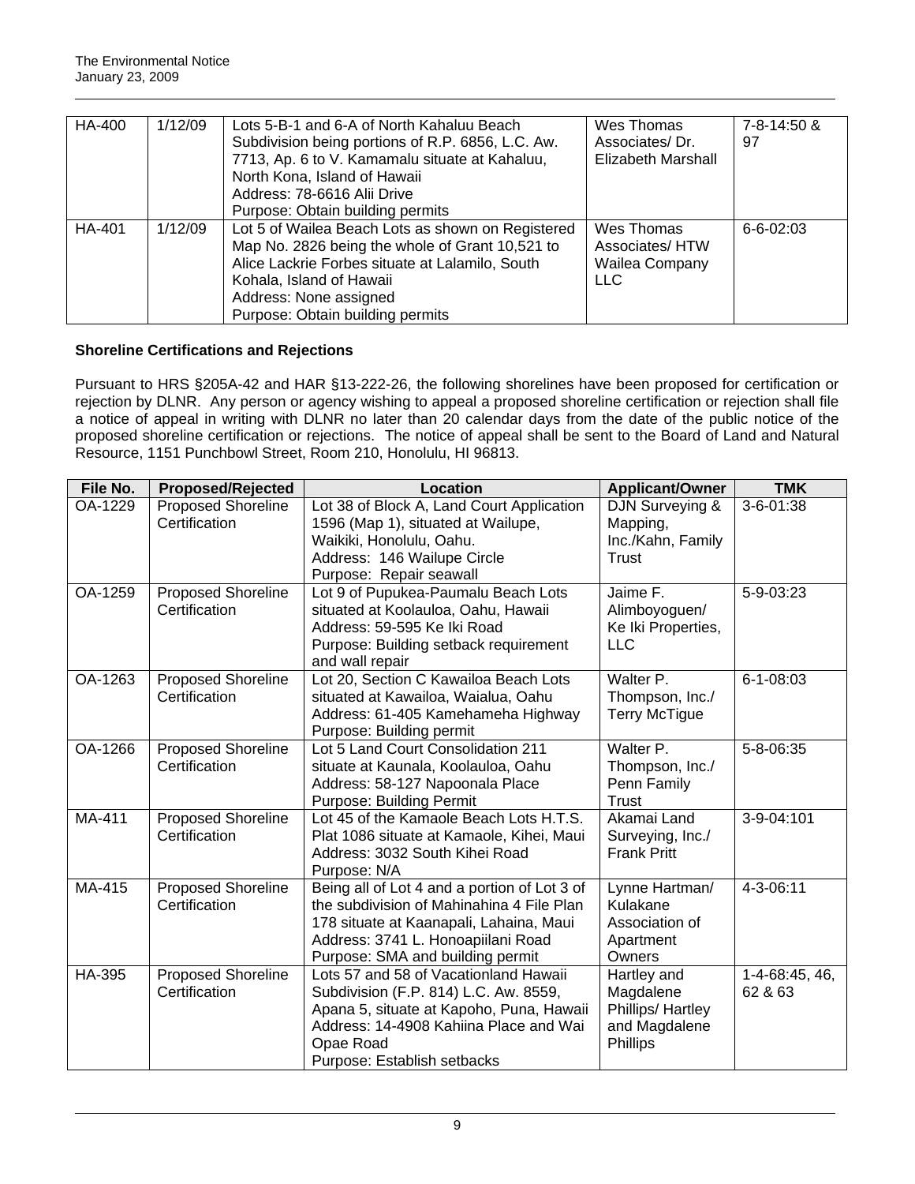| HA-400 | 1/12/09 | Lots 5-B-1 and 6-A of North Kahaluu Beach<br>Subdivision being portions of R.P. 6856, L.C. Aw.<br>7713, Ap. 6 to V. Kamamalu situate at Kahaluu,<br>North Kona, Island of Hawaii<br>Address: 78-6616 Alii Drive                                   | Wes Thomas<br>Associates/Dr.<br>Elizabeth Marshall           | 7-8-14:50 &<br>97 |
|--------|---------|---------------------------------------------------------------------------------------------------------------------------------------------------------------------------------------------------------------------------------------------------|--------------------------------------------------------------|-------------------|
|        |         | Purpose: Obtain building permits                                                                                                                                                                                                                  |                                                              |                   |
| HA-401 | 1/12/09 | Lot 5 of Wailea Beach Lots as shown on Registered<br>Map No. 2826 being the whole of Grant 10,521 to<br>Alice Lackrie Forbes situate at Lalamilo, South<br>Kohala, Island of Hawaii<br>Address: None assigned<br>Purpose: Obtain building permits | Wes Thomas<br>Associates/HTW<br>Wailea Company<br><b>LLC</b> | $6 - 6 - 02:03$   |

# **Shoreline Certifications and Rejections**

Pursuant to HRS §205A-42 and HAR §13-222-26, the following shorelines have been proposed for certification or rejection by DLNR. Any person or agency wishing to appeal a proposed shoreline certification or rejection shall file a notice of appeal in writing with DLNR no later than 20 calendar days from the date of the public notice of the proposed shoreline certification or rejections. The notice of appeal shall be sent to the Board of Land and Natural Resource, 1151 Punchbowl Street, Room 210, Honolulu, HI 96813.

| File No. | <b>Proposed/Rejected</b>                   | Location                                                                                                                                                                                                         | <b>Applicant/Owner</b>                                                     | <b>TMK</b>                |
|----------|--------------------------------------------|------------------------------------------------------------------------------------------------------------------------------------------------------------------------------------------------------------------|----------------------------------------------------------------------------|---------------------------|
| OA-1229  | <b>Proposed Shoreline</b><br>Certification | Lot 38 of Block A, Land Court Application<br>1596 (Map 1), situated at Wailupe,<br>Waikiki, Honolulu, Oahu.<br>Address: 146 Wailupe Circle<br>Purpose: Repair seawall                                            | DJN Surveying &<br>Mapping,<br>Inc./Kahn, Family<br>Trust                  | 3-6-01:38                 |
| OA-1259  | <b>Proposed Shoreline</b><br>Certification | Lot 9 of Pupukea-Paumalu Beach Lots<br>situated at Koolauloa, Oahu, Hawaii<br>Address: 59-595 Ke Iki Road<br>Purpose: Building setback requirement<br>and wall repair                                            | Jaime F.<br>Alimboyoguen/<br>Ke Iki Properties,<br><b>LLC</b>              | 5-9-03:23                 |
| OA-1263  | <b>Proposed Shoreline</b><br>Certification | Lot 20, Section C Kawailoa Beach Lots<br>situated at Kawailoa, Waialua, Oahu<br>Address: 61-405 Kamehameha Highway<br>Purpose: Building permit                                                                   | Walter P.<br>Thompson, Inc./<br><b>Terry McTigue</b>                       | $6 - 1 - 08:03$           |
| OA-1266  | <b>Proposed Shoreline</b><br>Certification | Lot 5 Land Court Consolidation 211<br>situate at Kaunala, Koolauloa, Oahu<br>Address: 58-127 Napoonala Place<br><b>Purpose: Building Permit</b>                                                                  | Walter P.<br>Thompson, Inc./<br>Penn Family<br><b>Trust</b>                | 5-8-06:35                 |
| MA-411   | <b>Proposed Shoreline</b><br>Certification | Lot 45 of the Kamaole Beach Lots H.T.S.<br>Plat 1086 situate at Kamaole, Kihei, Maui<br>Address: 3032 South Kihei Road<br>Purpose: N/A                                                                           | Akamai Land<br>Surveying, Inc./<br><b>Frank Pritt</b>                      | 3-9-04:101                |
| MA-415   | <b>Proposed Shoreline</b><br>Certification | Being all of Lot 4 and a portion of Lot 3 of<br>the subdivision of Mahinahina 4 File Plan<br>178 situate at Kaanapali, Lahaina, Maui<br>Address: 3741 L. Honoapiilani Road<br>Purpose: SMA and building permit   | Lynne Hartman/<br>Kulakane<br>Association of<br>Apartment<br>Owners        | 4-3-06:11                 |
| HA-395   | <b>Proposed Shoreline</b><br>Certification | Lots 57 and 58 of Vacationland Hawaii<br>Subdivision (F.P. 814) L.C. Aw. 8559,<br>Apana 5, situate at Kapoho, Puna, Hawaii<br>Address: 14-4908 Kahiina Place and Wai<br>Opae Road<br>Purpose: Establish setbacks | Hartley and<br>Magdalene<br>Phillips/ Hartley<br>and Magdalene<br>Phillips | 1-4-68:45, 46,<br>62 & 63 |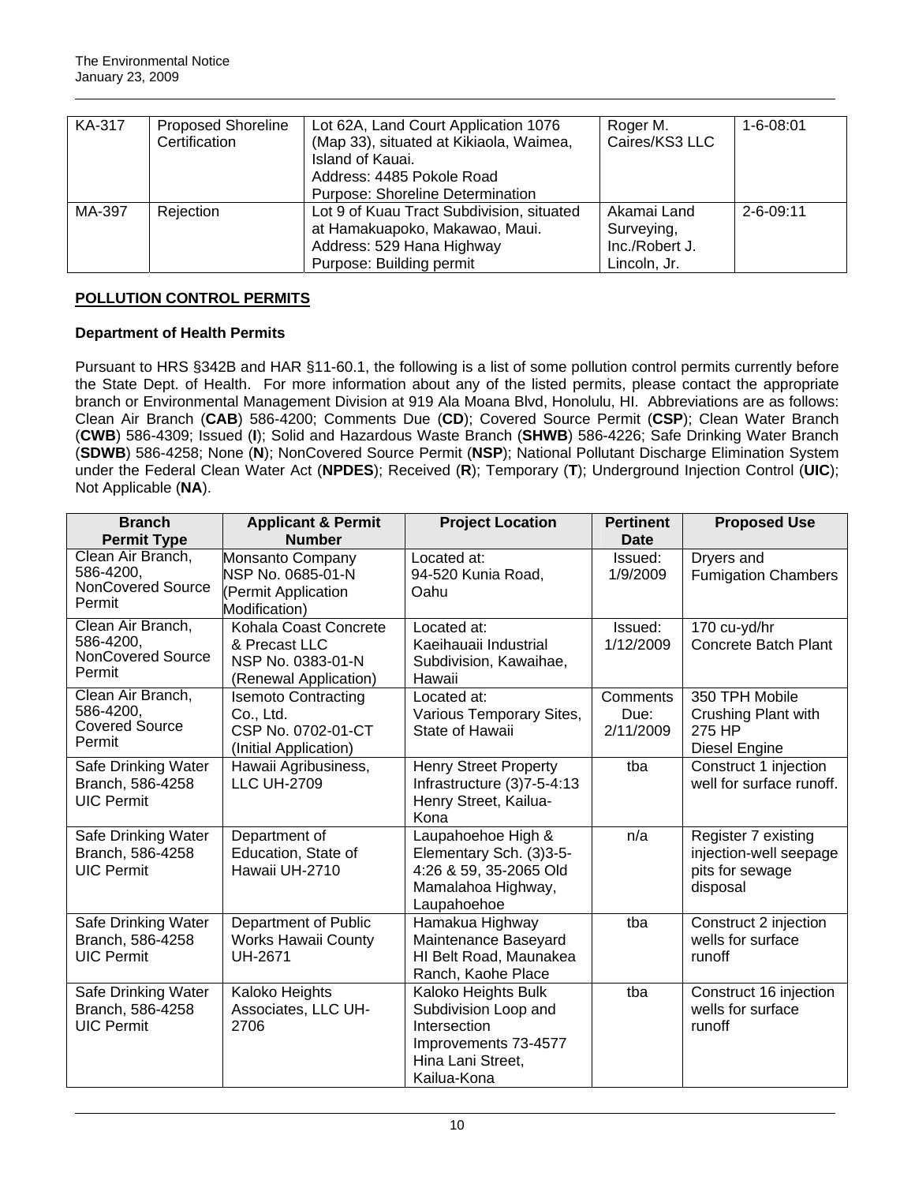| KA-317 | <b>Proposed Shoreline</b><br>Certification | Lot 62A, Land Court Application 1076<br>(Map 33), situated at Kikiaola, Waimea,<br>Island of Kauai.<br>Address: 4485 Pokole Road<br>Purpose: Shoreline Determination | Roger M.<br>Caires/KS3 LLC                                  | $1 - 6 - 08:01$ |
|--------|--------------------------------------------|----------------------------------------------------------------------------------------------------------------------------------------------------------------------|-------------------------------------------------------------|-----------------|
| MA-397 | Rejection                                  | Lot 9 of Kuau Tract Subdivision, situated<br>at Hamakuapoko, Makawao, Maui.<br>Address: 529 Hana Highway<br>Purpose: Building permit                                 | Akamai Land<br>Surveying,<br>Inc./Robert J.<br>Lincoln, Jr. | $2 - 6 - 09:11$ |

# **POLLUTION CONTROL PERMITS**

# **Department of Health Permits**

Pursuant to HRS §342B and HAR §11-60.1, the following is a list of some pollution control permits currently before the State Dept. of Health. For more information about any of the listed permits, please contact the appropriate branch or Environmental Management Division at 919 Ala Moana Blvd, Honolulu, HI. Abbreviations are as follows: Clean Air Branch (**CAB**) 586-4200; Comments Due (**CD**); Covered Source Permit (**CSP**); Clean Water Branch (**CWB**) 586-4309; Issued (**I**); Solid and Hazardous Waste Branch (**SHWB**) 586-4226; Safe Drinking Water Branch (**SDWB**) 586-4258; None (**N**); NonCovered Source Permit (**NSP**); National Pollutant Discharge Elimination System under the Federal Clean Water Act (**NPDES**); Received (**R**); Temporary (**T**); Underground Injection Control (**UIC**); Not Applicable (**NA**).

| <b>Branch</b><br><b>Permit Type</b>                                  | <b>Applicant &amp; Permit</b><br><b>Number</b>                                         | <b>Project Location</b>                                                                                                 | <b>Pertinent</b><br>Date      | <b>Proposed Use</b>                                                          |
|----------------------------------------------------------------------|----------------------------------------------------------------------------------------|-------------------------------------------------------------------------------------------------------------------------|-------------------------------|------------------------------------------------------------------------------|
| Clean Air Branch,<br>586-4200,<br><b>NonCovered Source</b><br>Permit | Monsanto Company<br>NSP No. 0685-01-N<br>(Permit Application<br>Modification)          | Located at:<br>94-520 Kunia Road,<br>Oahu                                                                               | Issued:<br>1/9/2009           | Dryers and<br><b>Fumigation Chambers</b>                                     |
| Clean Air Branch,<br>586-4200.<br><b>NonCovered Source</b><br>Permit | Kohala Coast Concrete<br>& Precast LLC<br>NSP No. 0383-01-N<br>(Renewal Application)   | Located at:<br>Kaeihauaii Industrial<br>Subdivision, Kawaihae,<br>Hawaii                                                | Issued:<br>1/12/2009          | 170 cu-yd/hr<br>Concrete Batch Plant                                         |
| Clean Air Branch,<br>586-4200,<br><b>Covered Source</b><br>Permit    | <b>Isemoto Contracting</b><br>Co., Ltd.<br>CSP No. 0702-01-CT<br>(Initial Application) | Located at:<br>Various Temporary Sites,<br>State of Hawaii                                                              | Comments<br>Due:<br>2/11/2009 | 350 TPH Mobile<br>Crushing Plant with<br>275 HP<br>Diesel Engine             |
| Safe Drinking Water<br>Branch, 586-4258<br><b>UIC Permit</b>         | Hawaii Agribusiness,<br><b>LLC UH-2709</b>                                             | <b>Henry Street Property</b><br>Infrastructure (3)7-5-4:13<br>Henry Street, Kailua-<br>Kona                             | tba                           | Construct 1 injection<br>well for surface runoff.                            |
| Safe Drinking Water<br>Branch, 586-4258<br><b>UIC Permit</b>         | Department of<br>Education, State of<br>Hawaii UH-2710                                 | Laupahoehoe High &<br>Elementary Sch. (3)3-5-<br>4:26 & 59, 35-2065 Old<br>Mamalahoa Highway,<br>Laupahoehoe            | n/a                           | Register 7 existing<br>injection-well seepage<br>pits for sewage<br>disposal |
| Safe Drinking Water<br>Branch, 586-4258<br><b>UIC Permit</b>         | Department of Public<br><b>Works Hawaii County</b><br><b>UH-2671</b>                   | Hamakua Highway<br>Maintenance Baseyard<br>HI Belt Road, Maunakea<br>Ranch, Kaohe Place                                 | tba                           | Construct 2 injection<br>wells for surface<br>runoff                         |
| Safe Drinking Water<br>Branch, 586-4258<br><b>UIC Permit</b>         | Kaloko Heights<br>Associates, LLC UH-<br>2706                                          | Kaloko Heights Bulk<br>Subdivision Loop and<br>Intersection<br>Improvements 73-4577<br>Hina Lani Street,<br>Kailua-Kona | tba                           | Construct 16 injection<br>wells for surface<br>runoff                        |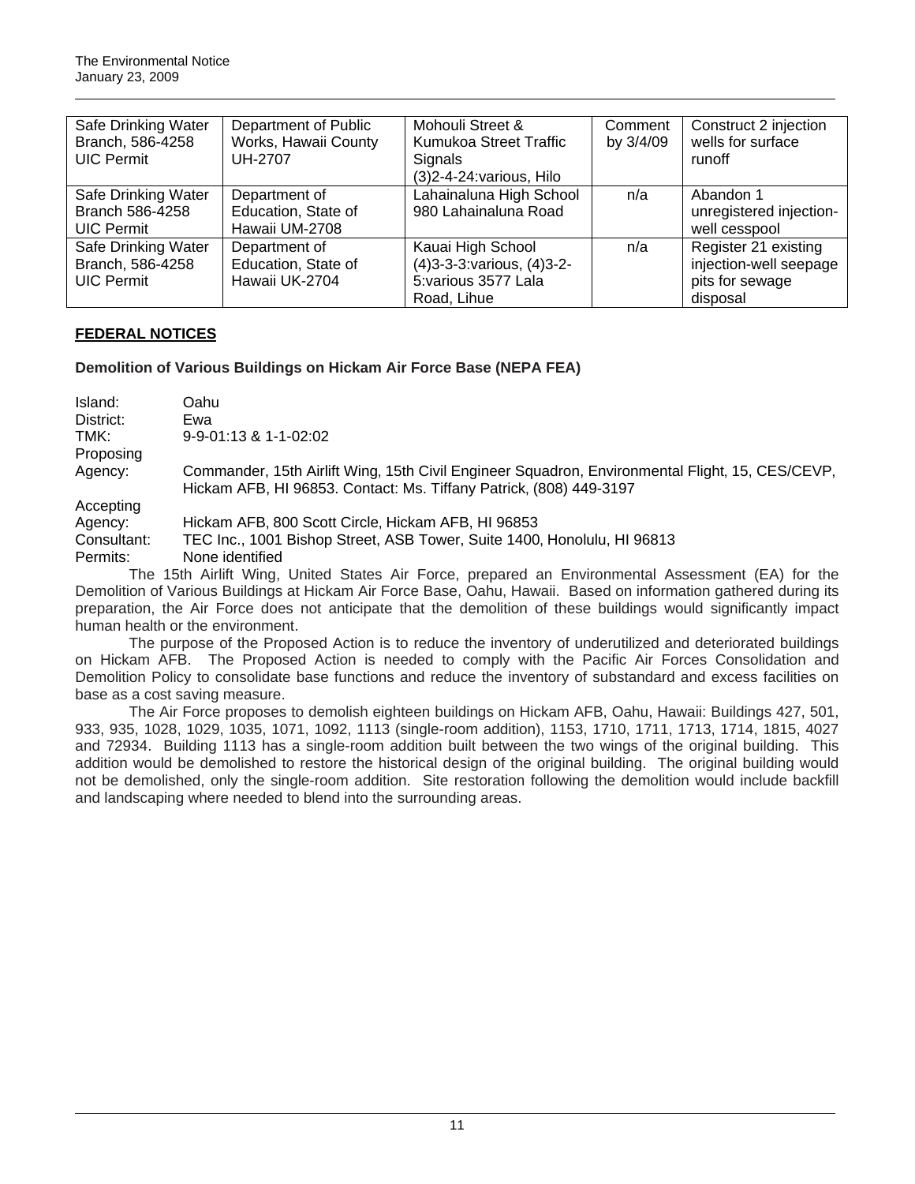| Safe Drinking Water | Department of Public | Mohouli Street &             | Comment   | Construct 2 injection   |
|---------------------|----------------------|------------------------------|-----------|-------------------------|
| Branch, 586-4258    | Works, Hawaii County | Kumukoa Street Traffic       | by 3/4/09 | wells for surface       |
| <b>UIC Permit</b>   | <b>UH-2707</b>       | Signals                      |           | runoff                  |
|                     |                      | $(3)$ 2-4-24: various, Hilo  |           |                         |
| Safe Drinking Water | Department of        | Lahainaluna High School      | n/a       | Abandon 1               |
| Branch 586-4258     | Education, State of  | 980 Lahainaluna Road         |           | unregistered injection- |
| <b>UIC Permit</b>   | Hawaii UM-2708       |                              |           | well cesspool           |
| Safe Drinking Water | Department of        | Kauai High School            | n/a       | Register 21 existing    |
| Branch, 586-4258    | Education, State of  | (4) 3-3-3: various, (4) 3-2- |           | injection-well seepage  |
| <b>UIC Permit</b>   | Hawaii UK-2704       | 5: various 3577 Lala         |           | pits for sewage         |
|                     |                      | Road, Lihue                  |           | disposal                |

# **FEDERAL NOTICES**

**Demolition of Various Buildings on Hickam Air Force Base (NEPA FEA)** 

| Island:     | Oahu                                                                                                                                                                  |
|-------------|-----------------------------------------------------------------------------------------------------------------------------------------------------------------------|
| District:   | Ewa                                                                                                                                                                   |
| TMK:        | $9 - 9 - 01:13$ & 1-1-02:02                                                                                                                                           |
| Proposing   |                                                                                                                                                                       |
| Agency:     | Commander, 15th Airlift Wing, 15th Civil Engineer Squadron, Environmental Flight, 15, CES/CEVP,<br>Hickam AFB, HI 96853. Contact: Ms. Tiffany Patrick, (808) 449-3197 |
| Accepting   |                                                                                                                                                                       |
| Agency:     | Hickam AFB, 800 Scott Circle, Hickam AFB, HI 96853                                                                                                                    |
| Consultant: | TEC Inc., 1001 Bishop Street, ASB Tower, Suite 1400, Honolulu, HI 96813                                                                                               |
| Permits:    | None identified                                                                                                                                                       |
|             | The 15th Airlift Wing, United States Air Force, prepared an Environmental Assessment (EA) for the                                                                     |
|             | Demolition of Various Ruildings at Hickam Air Earce Rase, Oabu, Hawaii, Rased on information asthorod during its                                                      |

Demolition of Various Buildings at Hickam Air Force Base, Oahu, Hawaii. Based on information gathered during its preparation, the Air Force does not anticipate that the demolition of these buildings would significantly impact human health or the environment.

The purpose of the Proposed Action is to reduce the inventory of underutilized and deteriorated buildings on Hickam AFB. The Proposed Action is needed to comply with the Pacific Air Forces Consolidation and Demolition Policy to consolidate base functions and reduce the inventory of substandard and excess facilities on base as a cost saving measure.

The Air Force proposes to demolish eighteen buildings on Hickam AFB, Oahu, Hawaii: Buildings 427, 501, 933, 935, 1028, 1029, 1035, 1071, 1092, 1113 (single-room addition), 1153, 1710, 1711, 1713, 1714, 1815, 4027 and 72934. Building 1113 has a single-room addition built between the two wings of the original building. This addition would be demolished to restore the historical design of the original building. The original building would not be demolished, only the single-room addition. Site restoration following the demolition would include backfill and landscaping where needed to blend into the surrounding areas.